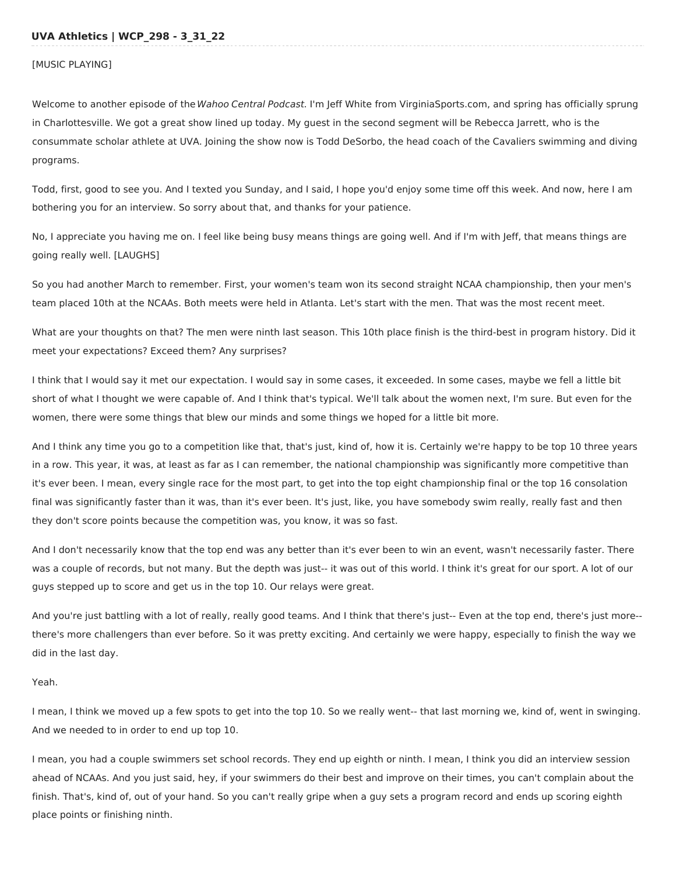[MUSIC PLAYING]

Welcome to another episode of the Wahoo Central Podcast. I'm Jeff White from VirginiaSports.com, and spring has officially sprung in Charlottesville. We got a great show lined up today. My guest in the second segment will be Rebecca Jarrett, who is the consummate scholar athlete at UVA. Joining the show now is Todd DeSorbo, the head coach of the Cavaliers swimming and diving programs.

Todd, first, good to see you. And I texted you Sunday, and I said, I hope you'd enjoy some time off this week. And now, here I am bothering you for an interview. So sorry about that, and thanks for your patience.

No, I appreciate you having me on. I feel like being busy means things are going well. And if I'm with Jeff, that means things are going really well. [LAUGHS]

So you had another March to remember. First, your women's team won its second straight NCAA championship, then your men's team placed 10th at the NCAAs. Both meets were held in Atlanta. Let's start with the men. That was the most recent meet.

What are your thoughts on that? The men were ninth last season. This 10th place finish is the third-best in program history. Did it meet your expectations? Exceed them? Any surprises?

I think that I would say it met our expectation. I would say in some cases, it exceeded. In some cases, maybe we fell a little bit short of what I thought we were capable of. And I think that's typical. We'll talk about the women next, I'm sure. But even for the women, there were some things that blew our minds and some things we hoped for a little bit more.

And I think any time you go to a competition like that, that's just, kind of, how it is. Certainly we're happy to be top 10 three years in a row. This year, it was, at least as far as I can remember, the national championship was significantly more competitive than it's ever been. I mean, every single race for the most part, to get into the top eight championship final or the top 16 consolation final was significantly faster than it was, than it's ever been. It's just, like, you have somebody swim really, really fast and then they don't score points because the competition was, you know, it was so fast.

And I don't necessarily know that the top end was any better than it's ever been to win an event, wasn't necessarily faster. There was a couple of records, but not many. But the depth was just-- it was out of this world. I think it's great for our sport. A lot of our guys stepped up to score and get us in the top 10. Our relays were great.

And you're just battling with a lot of really, really good teams. And I think that there's just-- Even at the top end, there's just more- there's more challengers than ever before. So it was pretty exciting. And certainly we were happy, especially to finish the way we did in the last day.

# Yeah.

I mean, I think we moved up a few spots to get into the top 10. So we really went-- that last morning we, kind of, went in swinging. And we needed to in order to end up top 10.

I mean, you had a couple swimmers set school records. They end up eighth or ninth. I mean, I think you did an interview session ahead of NCAAs. And you just said, hey, if your swimmers do their best and improve on their times, you can't complain about the finish. That's, kind of, out of your hand. So you can't really gripe when a guy sets a program record and ends up scoring eighth place points or finishing ninth.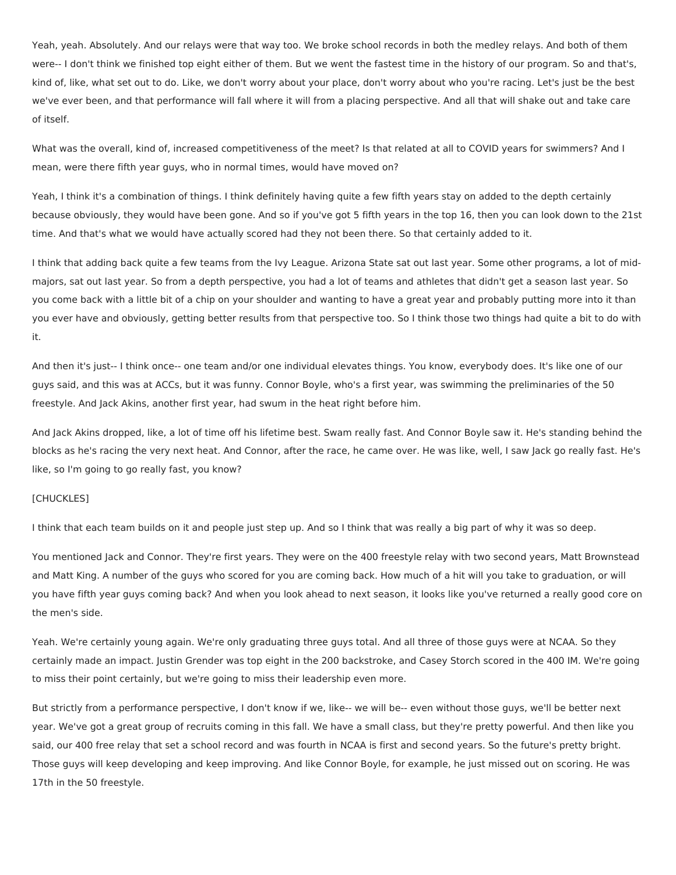Yeah, yeah. Absolutely. And our relays were that way too. We broke school records in both the medley relays. And both of them were-- I don't think we finished top eight either of them. But we went the fastest time in the history of our program. So and that's, kind of, like, what set out to do. Like, we don't worry about your place, don't worry about who you're racing. Let's just be the best we've ever been, and that performance will fall where it will from a placing perspective. And all that will shake out and take care of itself.

What was the overall, kind of, increased competitiveness of the meet? Is that related at all to COVID years for swimmers? And I mean, were there fifth year guys, who in normal times, would have moved on?

Yeah, I think it's a combination of things. I think definitely having quite a few fifth years stay on added to the depth certainly because obviously, they would have been gone. And so if you've got 5 fifth years in the top 16, then you can look down to the 21st time. And that's what we would have actually scored had they not been there. So that certainly added to it.

I think that adding back quite a few teams from the Ivy League. Arizona State sat out last year. Some other programs, a lot of midmajors, sat out last year. So from a depth perspective, you had a lot of teams and athletes that didn't get a season last year. So you come back with a little bit of a chip on your shoulder and wanting to have a great year and probably putting more into it than you ever have and obviously, getting better results from that perspective too. So I think those two things had quite a bit to do with it.

And then it's just-- I think once-- one team and/or one individual elevates things. You know, everybody does. It's like one of our guys said, and this was at ACCs, but it was funny. Connor Boyle, who's a first year, was swimming the preliminaries of the 50 freestyle. And Jack Akins, another first year, had swum in the heat right before him.

And Jack Akins dropped, like, a lot of time off his lifetime best. Swam really fast. And Connor Boyle saw it. He's standing behind the blocks as he's racing the very next heat. And Connor, after the race, he came over. He was like, well, I saw Jack go really fast. He's like, so I'm going to go really fast, you know?

### [CHUCKLES]

I think that each team builds on it and people just step up. And so I think that was really a big part of why it was so deep.

You mentioned Jack and Connor. They're first years. They were on the 400 freestyle relay with two second years, Matt Brownstead and Matt King. A number of the guys who scored for you are coming back. How much of a hit will you take to graduation, or will you have fifth year guys coming back? And when you look ahead to next season, it looks like you've returned a really good core on the men's side.

Yeah. We're certainly young again. We're only graduating three guys total. And all three of those guys were at NCAA. So they certainly made an impact. Justin Grender was top eight in the 200 backstroke, and Casey Storch scored in the 400 IM. We're going to miss their point certainly, but we're going to miss their leadership even more.

But strictly from a performance perspective, I don't know if we, like-- we will be-- even without those guys, we'll be better next year. We've got a great group of recruits coming in this fall. We have a small class, but they're pretty powerful. And then like you said, our 400 free relay that set a school record and was fourth in NCAA is first and second years. So the future's pretty bright. Those guys will keep developing and keep improving. And like Connor Boyle, for example, he just missed out on scoring. He was 17th in the 50 freestyle.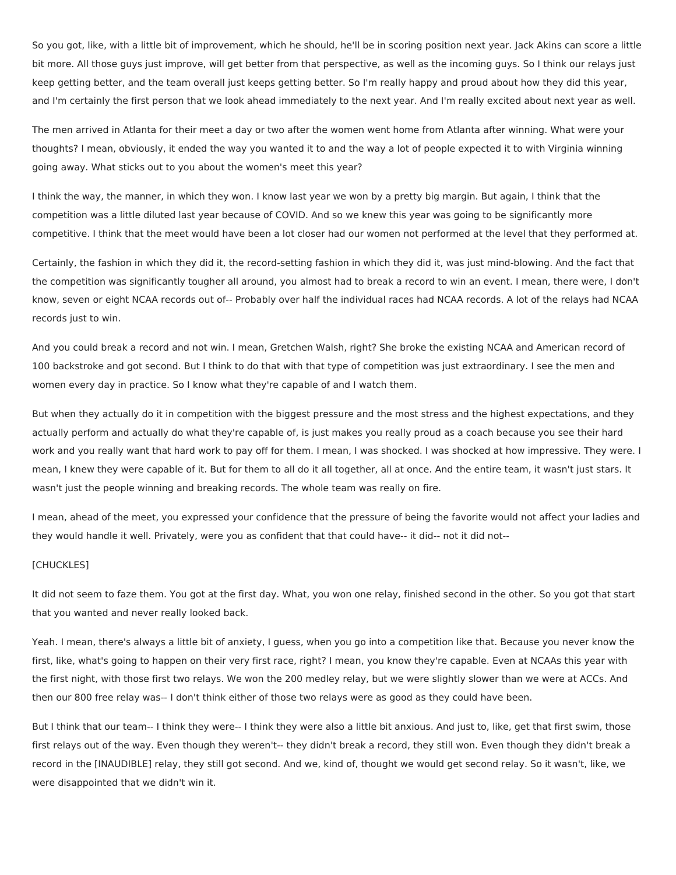So you got, like, with a little bit of improvement, which he should, he'll be in scoring position next year. Jack Akins can score a little bit more. All those guys just improve, will get better from that perspective, as well as the incoming guys. So I think our relays just keep getting better, and the team overall just keeps getting better. So I'm really happy and proud about how they did this year, and I'm certainly the first person that we look ahead immediately to the next year. And I'm really excited about next year as well.

The men arrived in Atlanta for their meet a day or two after the women went home from Atlanta after winning. What were your thoughts? I mean, obviously, it ended the way you wanted it to and the way a lot of people expected it to with Virginia winning going away. What sticks out to you about the women's meet this year?

I think the way, the manner, in which they won. I know last year we won by a pretty big margin. But again, I think that the competition was a little diluted last year because of COVID. And so we knew this year was going to be significantly more competitive. I think that the meet would have been a lot closer had our women not performed at the level that they performed at.

Certainly, the fashion in which they did it, the record-setting fashion in which they did it, was just mind-blowing. And the fact that the competition was significantly tougher all around, you almost had to break a record to win an event. I mean, there were, I don't know, seven or eight NCAA records out of-- Probably over half the individual races had NCAA records. A lot of the relays had NCAA records just to win.

And you could break a record and not win. I mean, Gretchen Walsh, right? She broke the existing NCAA and American record of 100 backstroke and got second. But I think to do that with that type of competition was just extraordinary. I see the men and women every day in practice. So I know what they're capable of and I watch them.

But when they actually do it in competition with the biggest pressure and the most stress and the highest expectations, and they actually perform and actually do what they're capable of, is just makes you really proud as a coach because you see their hard work and you really want that hard work to pay off for them. I mean, I was shocked. I was shocked at how impressive. They were. I mean, I knew they were capable of it. But for them to all do it all together, all at once. And the entire team, it wasn't just stars. It wasn't just the people winning and breaking records. The whole team was really on fire.

I mean, ahead of the meet, you expressed your confidence that the pressure of being the favorite would not affect your ladies and they would handle it well. Privately, were you as confident that that could have-- it did-- not it did not--

## [CHUCKLES]

It did not seem to faze them. You got at the first day. What, you won one relay, finished second in the other. So you got that start that you wanted and never really looked back.

Yeah. I mean, there's always a little bit of anxiety, I guess, when you go into a competition like that. Because you never know the first, like, what's going to happen on their very first race, right? I mean, you know they're capable. Even at NCAAs this year with the first night, with those first two relays. We won the 200 medley relay, but we were slightly slower than we were at ACCs. And then our 800 free relay was-- I don't think either of those two relays were as good as they could have been.

But I think that our team-- I think they were-- I think they were also a little bit anxious. And just to, like, get that first swim, those first relays out of the way. Even though they weren't-- they didn't break a record, they still won. Even though they didn't break a record in the [INAUDIBLE] relay, they still got second. And we, kind of, thought we would get second relay. So it wasn't, like, we were disappointed that we didn't win it.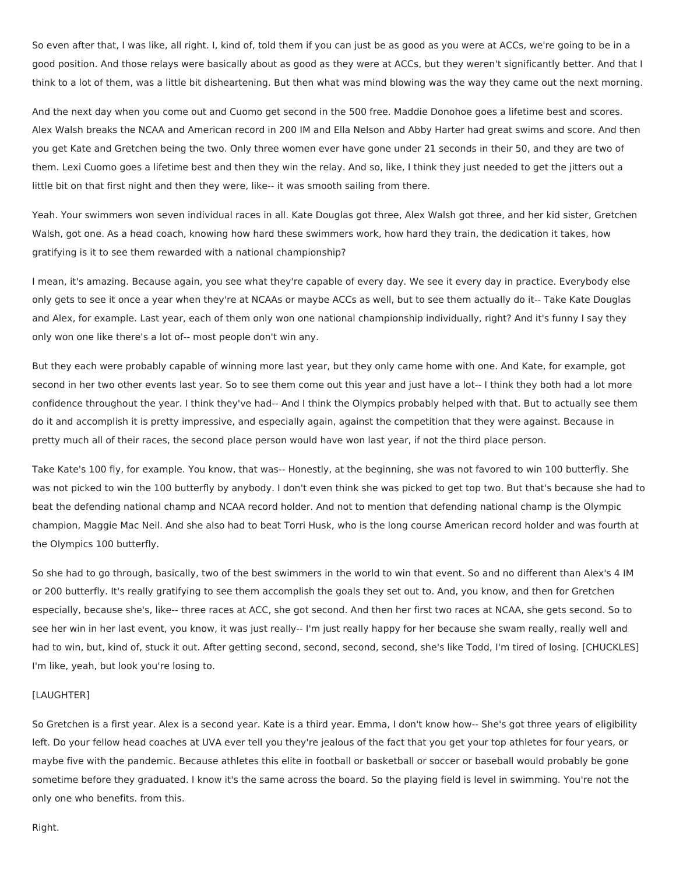So even after that, I was like, all right. I, kind of, told them if you can just be as good as you were at ACCs, we're going to be in a good position. And those relays were basically about as good as they were at ACCs, but they weren't significantly better. And that I think to a lot of them, was a little bit disheartening. But then what was mind blowing was the way they came out the next morning.

And the next day when you come out and Cuomo get second in the 500 free. Maddie Donohoe goes a lifetime best and scores. Alex Walsh breaks the NCAA and American record in 200 IM and Ella Nelson and Abby Harter had great swims and score. And then you get Kate and Gretchen being the two. Only three women ever have gone under 21 seconds in their 50, and they are two of them. Lexi Cuomo goes a lifetime best and then they win the relay. And so, like, I think they just needed to get the jitters out a little bit on that first night and then they were, like-- it was smooth sailing from there.

Yeah. Your swimmers won seven individual races in all. Kate Douglas got three, Alex Walsh got three, and her kid sister, Gretchen Walsh, got one. As a head coach, knowing how hard these swimmers work, how hard they train, the dedication it takes, how gratifying is it to see them rewarded with a national championship?

I mean, it's amazing. Because again, you see what they're capable of every day. We see it every day in practice. Everybody else only gets to see it once a year when they're at NCAAs or maybe ACCs as well, but to see them actually do it-- Take Kate Douglas and Alex, for example. Last year, each of them only won one national championship individually, right? And it's funny I say they only won one like there's a lot of-- most people don't win any.

But they each were probably capable of winning more last year, but they only came home with one. And Kate, for example, got second in her two other events last year. So to see them come out this year and just have a lot-- I think they both had a lot more confidence throughout the year. I think they've had-- And I think the Olympics probably helped with that. But to actually see them do it and accomplish it is pretty impressive, and especially again, against the competition that they were against. Because in pretty much all of their races, the second place person would have won last year, if not the third place person.

Take Kate's 100 fly, for example. You know, that was-- Honestly, at the beginning, she was not favored to win 100 butterfly. She was not picked to win the 100 butterfly by anybody. I don't even think she was picked to get top two. But that's because she had to beat the defending national champ and NCAA record holder. And not to mention that defending national champ is the Olympic champion, Maggie Mac Neil. And she also had to beat Torri Husk, who is the long course American record holder and was fourth at the Olympics 100 butterfly.

So she had to go through, basically, two of the best swimmers in the world to win that event. So and no different than Alex's 4 IM or 200 butterfly. It's really gratifying to see them accomplish the goals they set out to. And, you know, and then for Gretchen especially, because she's, like-- three races at ACC, she got second. And then her first two races at NCAA, she gets second. So to see her win in her last event, you know, it was just really-- I'm just really happy for her because she swam really, really well and had to win, but, kind of, stuck it out. After getting second, second, second, second, she's like Todd, I'm tired of losing. [CHUCKLES] I'm like, yeah, but look you're losing to.

## [LAUGHTER]

So Gretchen is a first year. Alex is a second year. Kate is a third year. Emma, I don't know how-- She's got three years of eligibility left. Do your fellow head coaches at UVA ever tell you they're jealous of the fact that you get your top athletes for four years, or maybe five with the pandemic. Because athletes this elite in football or basketball or soccer or baseball would probably be gone sometime before they graduated. I know it's the same across the board. So the playing field is level in swimming. You're not the only one who benefits. from this.

Right.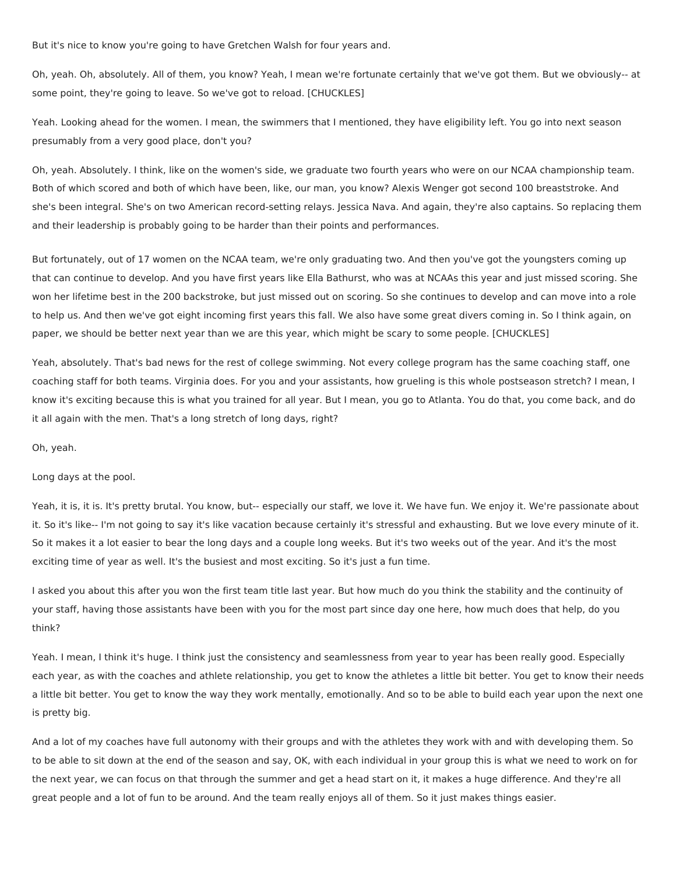But it's nice to know you're going to have Gretchen Walsh for four years and.

Oh, yeah. Oh, absolutely. All of them, you know? Yeah, I mean we're fortunate certainly that we've got them. But we obviously-- at some point, they're going to leave. So we've got to reload. [CHUCKLES]

Yeah. Looking ahead for the women. I mean, the swimmers that I mentioned, they have eligibility left. You go into next season presumably from a very good place, don't you?

Oh, yeah. Absolutely. I think, like on the women's side, we graduate two fourth years who were on our NCAA championship team. Both of which scored and both of which have been, like, our man, you know? Alexis Wenger got second 100 breaststroke. And she's been integral. She's on two American record-setting relays. Jessica Nava. And again, they're also captains. So replacing them and their leadership is probably going to be harder than their points and performances.

But fortunately, out of 17 women on the NCAA team, we're only graduating two. And then you've got the youngsters coming up that can continue to develop. And you have first years like Ella Bathurst, who was at NCAAs this year and just missed scoring. She won her lifetime best in the 200 backstroke, but just missed out on scoring. So she continues to develop and can move into a role to help us. And then we've got eight incoming first years this fall. We also have some great divers coming in. So I think again, on paper, we should be better next year than we are this year, which might be scary to some people. [CHUCKLES]

Yeah, absolutely. That's bad news for the rest of college swimming. Not every college program has the same coaching staff, one coaching staff for both teams. Virginia does. For you and your assistants, how grueling is this whole postseason stretch? I mean, I know it's exciting because this is what you trained for all year. But I mean, you go to Atlanta. You do that, you come back, and do it all again with the men. That's a long stretch of long days, right?

Oh, yeah.

Long days at the pool.

Yeah, it is, it is. It's pretty brutal. You know, but-- especially our staff, we love it. We have fun. We enjoy it. We're passionate about it. So it's like-- I'm not going to say it's like vacation because certainly it's stressful and exhausting. But we love every minute of it. So it makes it a lot easier to bear the long days and a couple long weeks. But it's two weeks out of the year. And it's the most exciting time of year as well. It's the busiest and most exciting. So it's just a fun time.

I asked you about this after you won the first team title last year. But how much do you think the stability and the continuity of your staff, having those assistants have been with you for the most part since day one here, how much does that help, do you think?

Yeah. I mean, I think it's huge. I think just the consistency and seamlessness from year to year has been really good. Especially each year, as with the coaches and athlete relationship, you get to know the athletes a little bit better. You get to know their needs a little bit better. You get to know the way they work mentally, emotionally. And so to be able to build each year upon the next one is pretty big.

And a lot of my coaches have full autonomy with their groups and with the athletes they work with and with developing them. So to be able to sit down at the end of the season and say, OK, with each individual in your group this is what we need to work on for the next year, we can focus on that through the summer and get a head start on it, it makes a huge difference. And they're all great people and a lot of fun to be around. And the team really enjoys all of them. So it just makes things easier.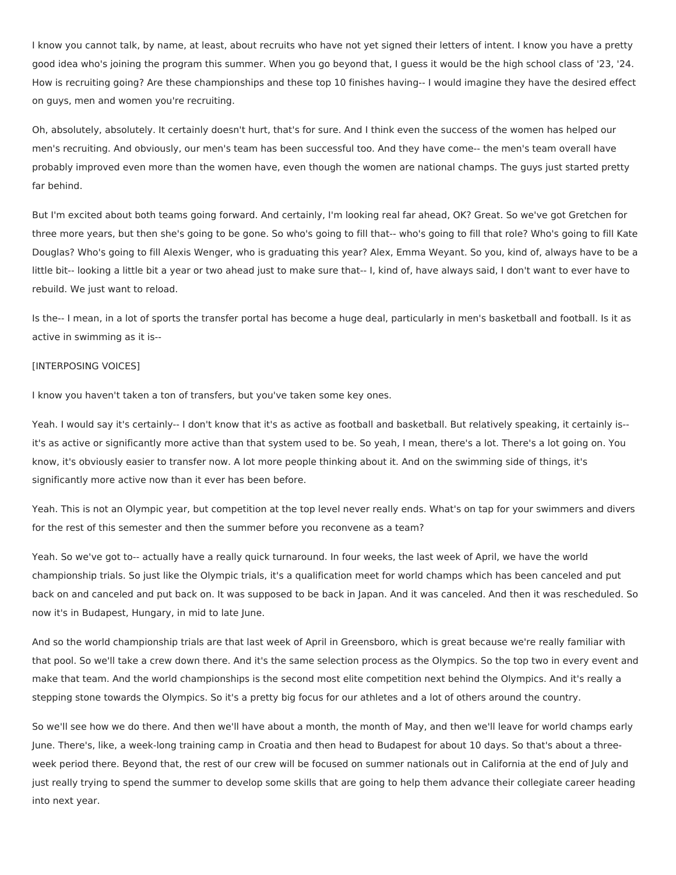I know you cannot talk, by name, at least, about recruits who have not yet signed their letters of intent. I know you have a pretty good idea who's joining the program this summer. When you go beyond that, I guess it would be the high school class of '23, '24. How is recruiting going? Are these championships and these top 10 finishes having-- I would imagine they have the desired effect on guys, men and women you're recruiting.

Oh, absolutely, absolutely. It certainly doesn't hurt, that's for sure. And I think even the success of the women has helped our men's recruiting. And obviously, our men's team has been successful too. And they have come-- the men's team overall have probably improved even more than the women have, even though the women are national champs. The guys just started pretty far behind.

But I'm excited about both teams going forward. And certainly, I'm looking real far ahead, OK? Great. So we've got Gretchen for three more years, but then she's going to be gone. So who's going to fill that-- who's going to fill that role? Who's going to fill Kate Douglas? Who's going to fill Alexis Wenger, who is graduating this year? Alex, Emma Weyant. So you, kind of, always have to be a little bit-- looking a little bit a year or two ahead just to make sure that-- I, kind of, have always said, I don't want to ever have to rebuild. We just want to reload.

Is the-- I mean, in a lot of sports the transfer portal has become a huge deal, particularly in men's basketball and football. Is it as active in swimming as it is--

#### [INTERPOSING VOICES]

I know you haven't taken a ton of transfers, but you've taken some key ones.

Yeah. I would say it's certainly-- I don't know that it's as active as football and basketball. But relatively speaking, it certainly is- it's as active or significantly more active than that system used to be. So yeah, I mean, there's a lot. There's a lot going on. You know, it's obviously easier to transfer now. A lot more people thinking about it. And on the swimming side of things, it's significantly more active now than it ever has been before.

Yeah. This is not an Olympic year, but competition at the top level never really ends. What's on tap for your swimmers and divers for the rest of this semester and then the summer before you reconvene as a team?

Yeah. So we've got to-- actually have a really quick turnaround. In four weeks, the last week of April, we have the world championship trials. So just like the Olympic trials, it's a qualification meet for world champs which has been canceled and put back on and canceled and put back on. It was supposed to be back in Japan. And it was canceled. And then it was rescheduled. So now it's in Budapest, Hungary, in mid to late June.

And so the world championship trials are that last week of April in Greensboro, which is great because we're really familiar with that pool. So we'll take a crew down there. And it's the same selection process as the Olympics. So the top two in every event and make that team. And the world championships is the second most elite competition next behind the Olympics. And it's really a stepping stone towards the Olympics. So it's a pretty big focus for our athletes and a lot of others around the country.

So we'll see how we do there. And then we'll have about a month, the month of May, and then we'll leave for world champs early June. There's, like, a week-long training camp in Croatia and then head to Budapest for about 10 days. So that's about a threeweek period there. Beyond that, the rest of our crew will be focused on summer nationals out in California at the end of July and just really trying to spend the summer to develop some skills that are going to help them advance their collegiate career heading into next year.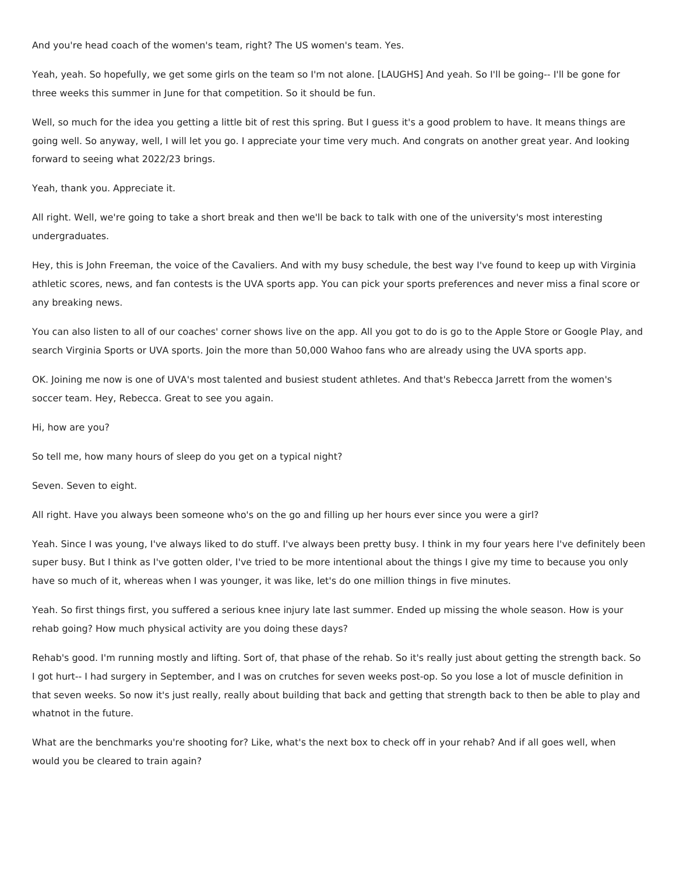And you're head coach of the women's team, right? The US women's team. Yes.

Yeah, yeah. So hopefully, we get some girls on the team so I'm not alone. [LAUGHS] And yeah. So I'll be going-- I'll be gone for three weeks this summer in June for that competition. So it should be fun.

Well, so much for the idea you getting a little bit of rest this spring. But I guess it's a good problem to have. It means things are going well. So anyway, well, I will let you go. I appreciate your time very much. And congrats on another great year. And looking forward to seeing what 2022/23 brings.

Yeah, thank you. Appreciate it.

All right. Well, we're going to take a short break and then we'll be back to talk with one of the university's most interesting undergraduates.

Hey, this is John Freeman, the voice of the Cavaliers. And with my busy schedule, the best way I've found to keep up with Virginia athletic scores, news, and fan contests is the UVA sports app. You can pick your sports preferences and never miss a final score or any breaking news.

You can also listen to all of our coaches' corner shows live on the app. All you got to do is go to the Apple Store or Google Play, and search Virginia Sports or UVA sports. Join the more than 50,000 Wahoo fans who are already using the UVA sports app.

OK. Joining me now is one of UVA's most talented and busiest student athletes. And that's Rebecca Jarrett from the women's soccer team. Hey, Rebecca. Great to see you again.

Hi, how are you?

So tell me, how many hours of sleep do you get on a typical night?

Seven. Seven to eight.

All right. Have you always been someone who's on the go and filling up her hours ever since you were a girl?

Yeah. Since I was young, I've always liked to do stuff. I've always been pretty busy. I think in my four years here I've definitely been super busy. But I think as I've gotten older, I've tried to be more intentional about the things I give my time to because you only have so much of it, whereas when I was younger, it was like, let's do one million things in five minutes.

Yeah. So first things first, you suffered a serious knee injury late last summer. Ended up missing the whole season. How is your rehab going? How much physical activity are you doing these days?

Rehab's good. I'm running mostly and lifting. Sort of, that phase of the rehab. So it's really just about getting the strength back. So I got hurt-- I had surgery in September, and I was on crutches for seven weeks post-op. So you lose a lot of muscle definition in that seven weeks. So now it's just really, really about building that back and getting that strength back to then be able to play and whatnot in the future.

What are the benchmarks you're shooting for? Like, what's the next box to check off in your rehab? And if all goes well, when would you be cleared to train again?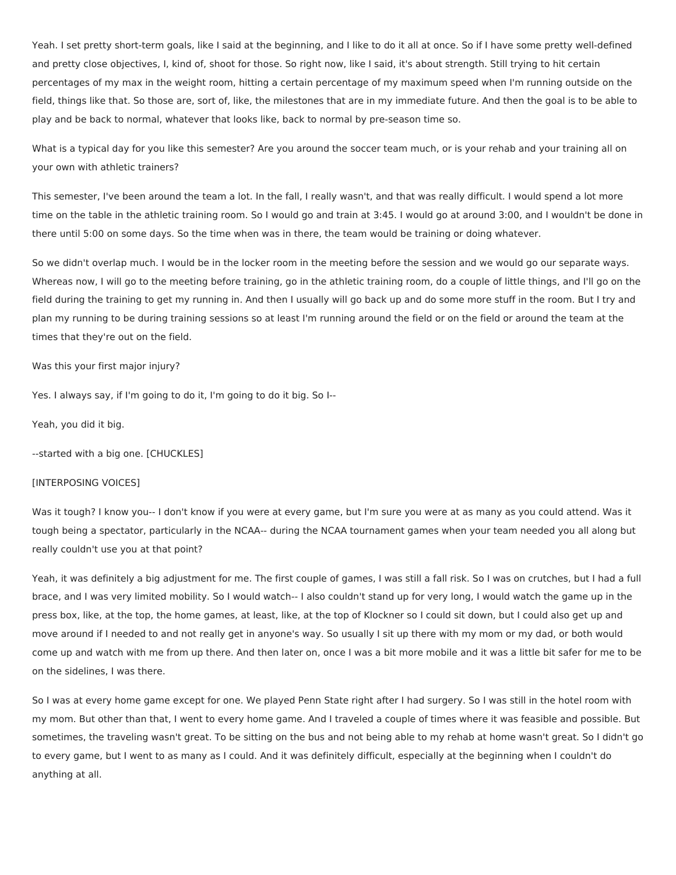Yeah. I set pretty short-term goals, like I said at the beginning, and I like to do it all at once. So if I have some pretty well-defined and pretty close objectives, I, kind of, shoot for those. So right now, like I said, it's about strength. Still trying to hit certain percentages of my max in the weight room, hitting a certain percentage of my maximum speed when I'm running outside on the field, things like that. So those are, sort of, like, the milestones that are in my immediate future. And then the goal is to be able to play and be back to normal, whatever that looks like, back to normal by pre-season time so.

What is a typical day for you like this semester? Are you around the soccer team much, or is your rehab and your training all on your own with athletic trainers?

This semester, I've been around the team a lot. In the fall, I really wasn't, and that was really difficult. I would spend a lot more time on the table in the athletic training room. So I would go and train at 3:45. I would go at around 3:00, and I wouldn't be done in there until 5:00 on some days. So the time when was in there, the team would be training or doing whatever.

So we didn't overlap much. I would be in the locker room in the meeting before the session and we would go our separate ways. Whereas now, I will go to the meeting before training, go in the athletic training room, do a couple of little things, and I'll go on the field during the training to get my running in. And then I usually will go back up and do some more stuff in the room. But I try and plan my running to be during training sessions so at least I'm running around the field or on the field or around the team at the times that they're out on the field.

Was this your first major injury?

Yes. I always say, if I'm going to do it, I'm going to do it big. So I--

Yeah, you did it big.

--started with a big one. [CHUCKLES]

#### [INTERPOSING VOICES]

Was it tough? I know you-- I don't know if you were at every game, but I'm sure you were at as many as you could attend. Was it tough being a spectator, particularly in the NCAA-- during the NCAA tournament games when your team needed you all along but really couldn't use you at that point?

Yeah, it was definitely a big adjustment for me. The first couple of games, I was still a fall risk. So I was on crutches, but I had a full brace, and I was very limited mobility. So I would watch-- I also couldn't stand up for very long, I would watch the game up in the press box, like, at the top, the home games, at least, like, at the top of Klockner so I could sit down, but I could also get up and move around if I needed to and not really get in anyone's way. So usually I sit up there with my mom or my dad, or both would come up and watch with me from up there. And then later on, once I was a bit more mobile and it was a little bit safer for me to be on the sidelines, I was there.

So I was at every home game except for one. We played Penn State right after I had surgery. So I was still in the hotel room with my mom. But other than that, I went to every home game. And I traveled a couple of times where it was feasible and possible. But sometimes, the traveling wasn't great. To be sitting on the bus and not being able to my rehab at home wasn't great. So I didn't go to every game, but I went to as many as I could. And it was definitely difficult, especially at the beginning when I couldn't do anything at all.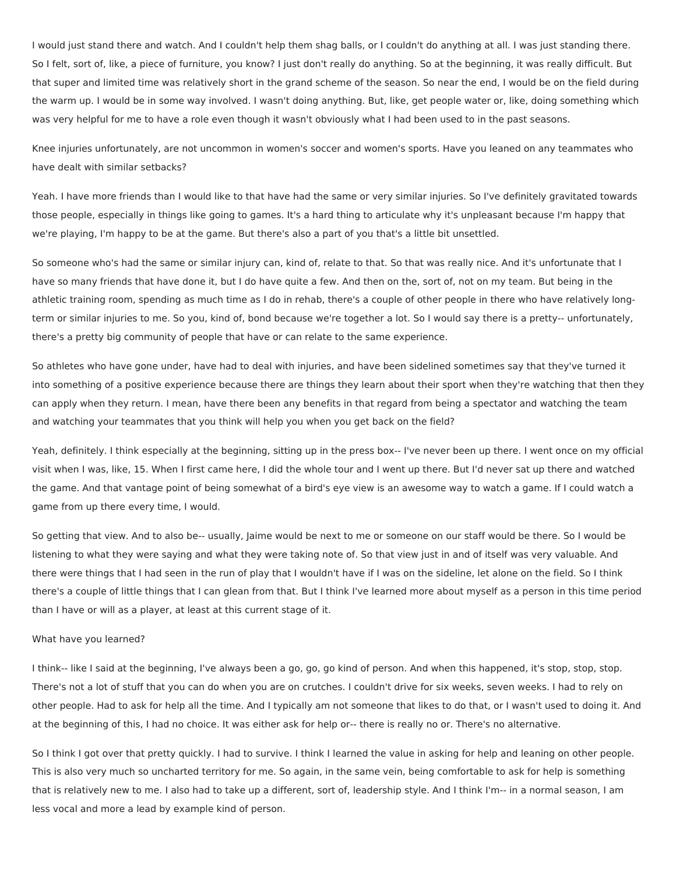I would just stand there and watch. And I couldn't help them shag balls, or I couldn't do anything at all. I was just standing there. So I felt, sort of, like, a piece of furniture, you know? I just don't really do anything. So at the beginning, it was really difficult. But that super and limited time was relatively short in the grand scheme of the season. So near the end, I would be on the field during the warm up. I would be in some way involved. I wasn't doing anything. But, like, get people water or, like, doing something which was very helpful for me to have a role even though it wasn't obviously what I had been used to in the past seasons.

Knee injuries unfortunately, are not uncommon in women's soccer and women's sports. Have you leaned on any teammates who have dealt with similar setbacks?

Yeah. I have more friends than I would like to that have had the same or very similar injuries. So I've definitely gravitated towards those people, especially in things like going to games. It's a hard thing to articulate why it's unpleasant because I'm happy that we're playing, I'm happy to be at the game. But there's also a part of you that's a little bit unsettled.

So someone who's had the same or similar injury can, kind of, relate to that. So that was really nice. And it's unfortunate that I have so many friends that have done it, but I do have quite a few. And then on the, sort of, not on my team. But being in the athletic training room, spending as much time as I do in rehab, there's a couple of other people in there who have relatively longterm or similar injuries to me. So you, kind of, bond because we're together a lot. So I would say there is a pretty-- unfortunately, there's a pretty big community of people that have or can relate to the same experience.

So athletes who have gone under, have had to deal with injuries, and have been sidelined sometimes say that they've turned it into something of a positive experience because there are things they learn about their sport when they're watching that then they can apply when they return. I mean, have there been any benefits in that regard from being a spectator and watching the team and watching your teammates that you think will help you when you get back on the field?

Yeah, definitely. I think especially at the beginning, sitting up in the press box-- I've never been up there. I went once on my official visit when I was, like, 15. When I first came here, I did the whole tour and I went up there. But I'd never sat up there and watched the game. And that vantage point of being somewhat of a bird's eye view is an awesome way to watch a game. If I could watch a game from up there every time, I would.

So getting that view. And to also be-- usually, Jaime would be next to me or someone on our staff would be there. So I would be listening to what they were saying and what they were taking note of. So that view just in and of itself was very valuable. And there were things that I had seen in the run of play that I wouldn't have if I was on the sideline, let alone on the field. So I think there's a couple of little things that I can glean from that. But I think I've learned more about myself as a person in this time period than I have or will as a player, at least at this current stage of it.

## What have you learned?

I think-- like I said at the beginning, I've always been a go, go, go kind of person. And when this happened, it's stop, stop, stop. There's not a lot of stuff that you can do when you are on crutches. I couldn't drive for six weeks, seven weeks. I had to rely on other people. Had to ask for help all the time. And I typically am not someone that likes to do that, or I wasn't used to doing it. And at the beginning of this, I had no choice. It was either ask for help or-- there is really no or. There's no alternative.

So I think I got over that pretty quickly. I had to survive. I think I learned the value in asking for help and leaning on other people. This is also very much so uncharted territory for me. So again, in the same vein, being comfortable to ask for help is something that is relatively new to me. I also had to take up a different, sort of, leadership style. And I think I'm-- in a normal season, I am less vocal and more a lead by example kind of person.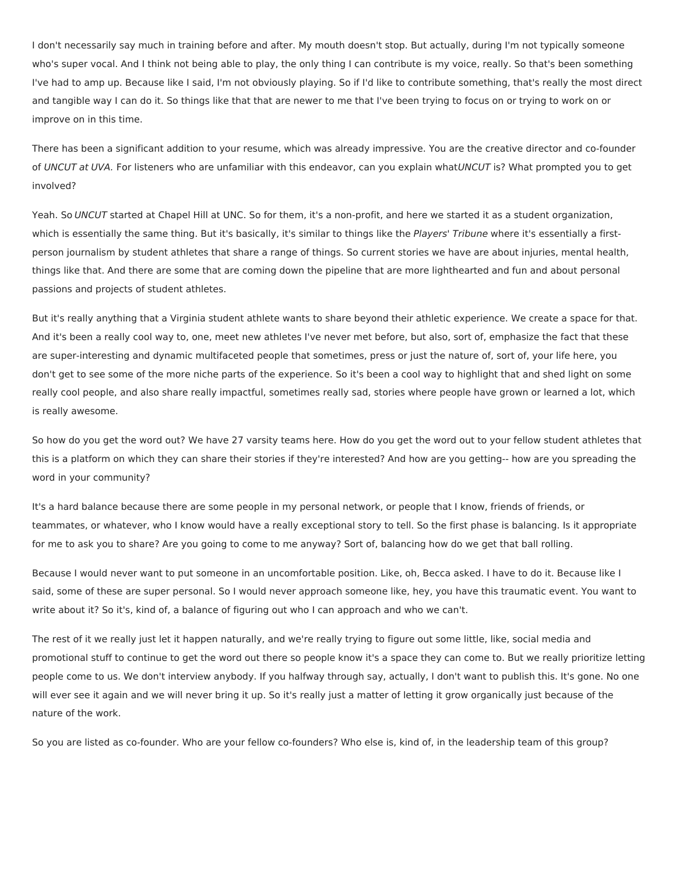I don't necessarily say much in training before and after. My mouth doesn't stop. But actually, during I'm not typically someone who's super vocal. And I think not being able to play, the only thing I can contribute is my voice, really. So that's been something I've had to amp up. Because like I said, I'm not obviously playing. So if I'd like to contribute something, that's really the most direct and tangible way I can do it. So things like that that are newer to me that I've been trying to focus on or trying to work on or improve on in this time.

There has been a significant addition to your resume, which was already impressive. You are the creative director and co-founder of UNCUT at UVA. For listeners who are unfamiliar with this endeavor, can you explain whatUNCUT is? What prompted you to get involved?

Yeah. So UNCUT started at Chapel Hill at UNC. So for them, it's a non-profit, and here we started it as a student organization, which is essentially the same thing. But it's basically, it's similar to things like the Players' Tribune where it's essentially a firstperson journalism by student athletes that share a range of things. So current stories we have are about injuries, mental health, things like that. And there are some that are coming down the pipeline that are more lighthearted and fun and about personal passions and projects of student athletes.

But it's really anything that a Virginia student athlete wants to share beyond their athletic experience. We create a space for that. And it's been a really cool way to, one, meet new athletes I've never met before, but also, sort of, emphasize the fact that these are super-interesting and dynamic multifaceted people that sometimes, press or just the nature of, sort of, your life here, you don't get to see some of the more niche parts of the experience. So it's been a cool way to highlight that and shed light on some really cool people, and also share really impactful, sometimes really sad, stories where people have grown or learned a lot, which is really awesome.

So how do you get the word out? We have 27 varsity teams here. How do you get the word out to your fellow student athletes that this is a platform on which they can share their stories if they're interested? And how are you getting-- how are you spreading the word in your community?

It's a hard balance because there are some people in my personal network, or people that I know, friends of friends, or teammates, or whatever, who I know would have a really exceptional story to tell. So the first phase is balancing. Is it appropriate for me to ask you to share? Are you going to come to me anyway? Sort of, balancing how do we get that ball rolling.

Because I would never want to put someone in an uncomfortable position. Like, oh, Becca asked. I have to do it. Because like I said, some of these are super personal. So I would never approach someone like, hey, you have this traumatic event. You want to write about it? So it's, kind of, a balance of figuring out who I can approach and who we can't.

The rest of it we really just let it happen naturally, and we're really trying to figure out some little, like, social media and promotional stuff to continue to get the word out there so people know it's a space they can come to. But we really prioritize letting people come to us. We don't interview anybody. If you halfway through say, actually, I don't want to publish this. It's gone. No one will ever see it again and we will never bring it up. So it's really just a matter of letting it grow organically just because of the nature of the work.

So you are listed as co-founder. Who are your fellow co-founders? Who else is, kind of, in the leadership team of this group?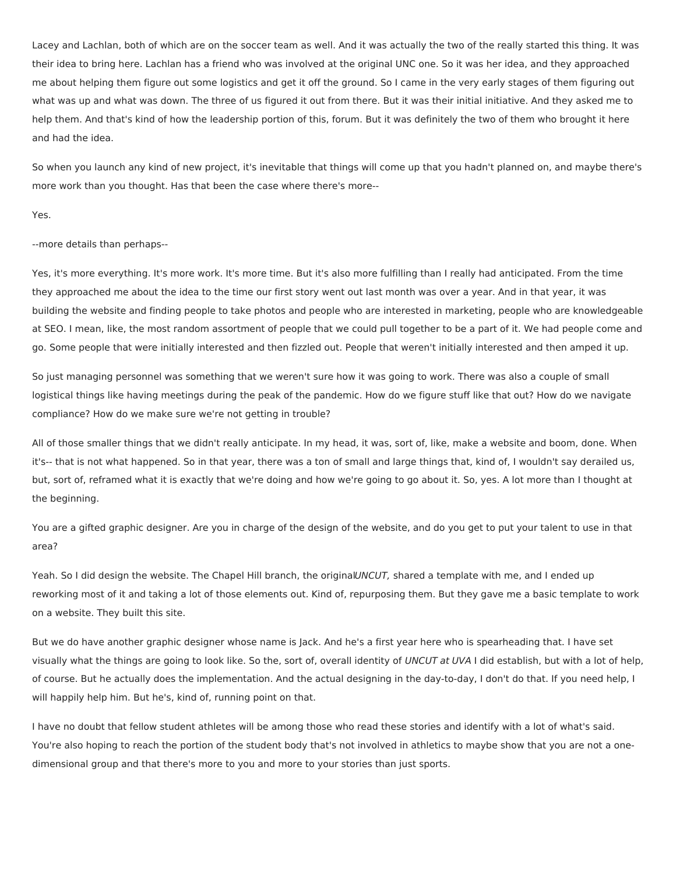Lacey and Lachlan, both of which are on the soccer team as well. And it was actually the two of the really started this thing. It was their idea to bring here. Lachlan has a friend who was involved at the original UNC one. So it was her idea, and they approached me about helping them figure out some logistics and get it off the ground. So I came in the very early stages of them figuring out what was up and what was down. The three of us figured it out from there. But it was their initial initiative. And they asked me to help them. And that's kind of how the leadership portion of this, forum. But it was definitely the two of them who brought it here and had the idea.

So when you launch any kind of new project, it's inevitable that things will come up that you hadn't planned on, and maybe there's more work than you thought. Has that been the case where there's more--

Yes.

--more details than perhaps--

Yes, it's more everything. It's more work. It's more time. But it's also more fulfilling than I really had anticipated. From the time they approached me about the idea to the time our first story went out last month was over a year. And in that year, it was building the website and finding people to take photos and people who are interested in marketing, people who are knowledgeable at SEO. I mean, like, the most random assortment of people that we could pull together to be a part of it. We had people come and go. Some people that were initially interested and then fizzled out. People that weren't initially interested and then amped it up.

So just managing personnel was something that we weren't sure how it was going to work. There was also a couple of small logistical things like having meetings during the peak of the pandemic. How do we figure stuff like that out? How do we navigate compliance? How do we make sure we're not getting in trouble?

All of those smaller things that we didn't really anticipate. In my head, it was, sort of, like, make a website and boom, done. When it's-- that is not what happened. So in that year, there was a ton of small and large things that, kind of, I wouldn't say derailed us, but, sort of, reframed what it is exactly that we're doing and how we're going to go about it. So, yes. A lot more than I thought at the beginning.

You are a gifted graphic designer. Are you in charge of the design of the website, and do you get to put your talent to use in that area?

Yeah. So I did design the website. The Chapel Hill branch, the originalUNCUT, shared a template with me, and I ended up reworking most of it and taking a lot of those elements out. Kind of, repurposing them. But they gave me a basic template to work on a website. They built this site.

But we do have another graphic designer whose name is Jack. And he's a first year here who is spearheading that. I have set visually what the things are going to look like. So the, sort of, overall identity of UNCUT at UVA I did establish, but with a lot of help, of course. But he actually does the implementation. And the actual designing in the day-to-day, I don't do that. If you need help, I will happily help him. But he's, kind of, running point on that.

I have no doubt that fellow student athletes will be among those who read these stories and identify with a lot of what's said. You're also hoping to reach the portion of the student body that's not involved in athletics to maybe show that you are not a onedimensional group and that there's more to you and more to your stories than just sports.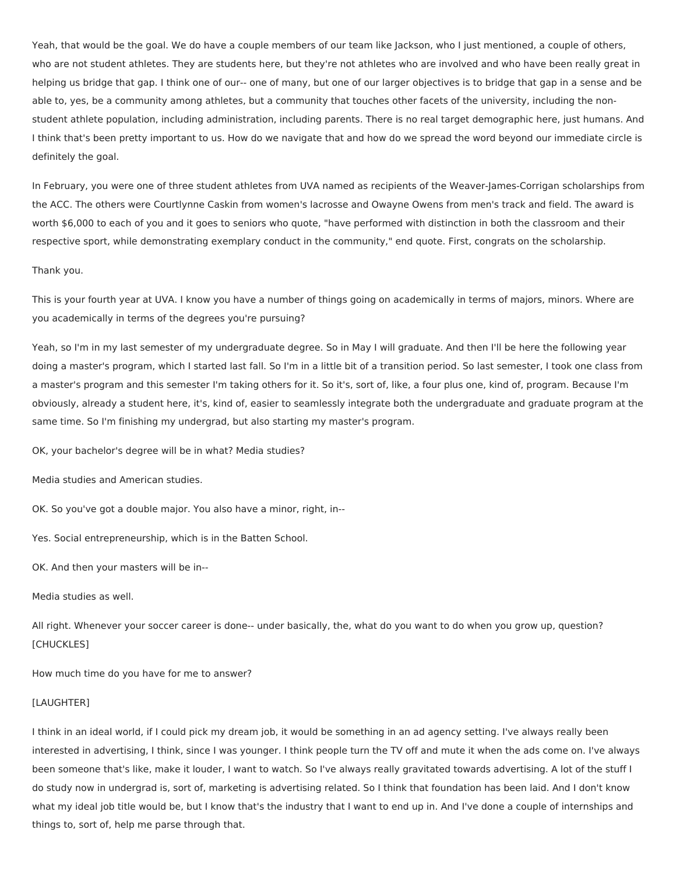Yeah, that would be the goal. We do have a couple members of our team like Jackson, who I just mentioned, a couple of others, who are not student athletes. They are students here, but they're not athletes who are involved and who have been really great in helping us bridge that gap. I think one of our-- one of many, but one of our larger objectives is to bridge that gap in a sense and be able to, yes, be a community among athletes, but a community that touches other facets of the university, including the nonstudent athlete population, including administration, including parents. There is no real target demographic here, just humans. And I think that's been pretty important to us. How do we navigate that and how do we spread the word beyond our immediate circle is definitely the goal.

In February, you were one of three student athletes from UVA named as recipients of the Weaver-James-Corrigan scholarships from the ACC. The others were Courtlynne Caskin from women's lacrosse and Owayne Owens from men's track and field. The award is worth \$6,000 to each of you and it goes to seniors who quote, "have performed with distinction in both the classroom and their respective sport, while demonstrating exemplary conduct in the community," end quote. First, congrats on the scholarship.

#### Thank you.

This is your fourth year at UVA. I know you have a number of things going on academically in terms of majors, minors. Where are you academically in terms of the degrees you're pursuing?

Yeah, so I'm in my last semester of my undergraduate degree. So in May I will graduate. And then I'll be here the following year doing a master's program, which I started last fall. So I'm in a little bit of a transition period. So last semester, I took one class from a master's program and this semester I'm taking others for it. So it's, sort of, like, a four plus one, kind of, program. Because I'm obviously, already a student here, it's, kind of, easier to seamlessly integrate both the undergraduate and graduate program at the same time. So I'm finishing my undergrad, but also starting my master's program.

OK, your bachelor's degree will be in what? Media studies?

Media studies and American studies.

OK. So you've got a double major. You also have a minor, right, in--

Yes. Social entrepreneurship, which is in the Batten School.

OK. And then your masters will be in--

Media studies as well.

All right. Whenever your soccer career is done-- under basically, the, what do you want to do when you grow up, question? [CHUCKLES]

How much time do you have for me to answer?

#### [LAUGHTER]

I think in an ideal world, if I could pick my dream job, it would be something in an ad agency setting. I've always really been interested in advertising, I think, since I was younger. I think people turn the TV off and mute it when the ads come on. I've always been someone that's like, make it louder, I want to watch. So I've always really gravitated towards advertising. A lot of the stuff I do study now in undergrad is, sort of, marketing is advertising related. So I think that foundation has been laid. And I don't know what my ideal job title would be, but I know that's the industry that I want to end up in. And I've done a couple of internships and things to, sort of, help me parse through that.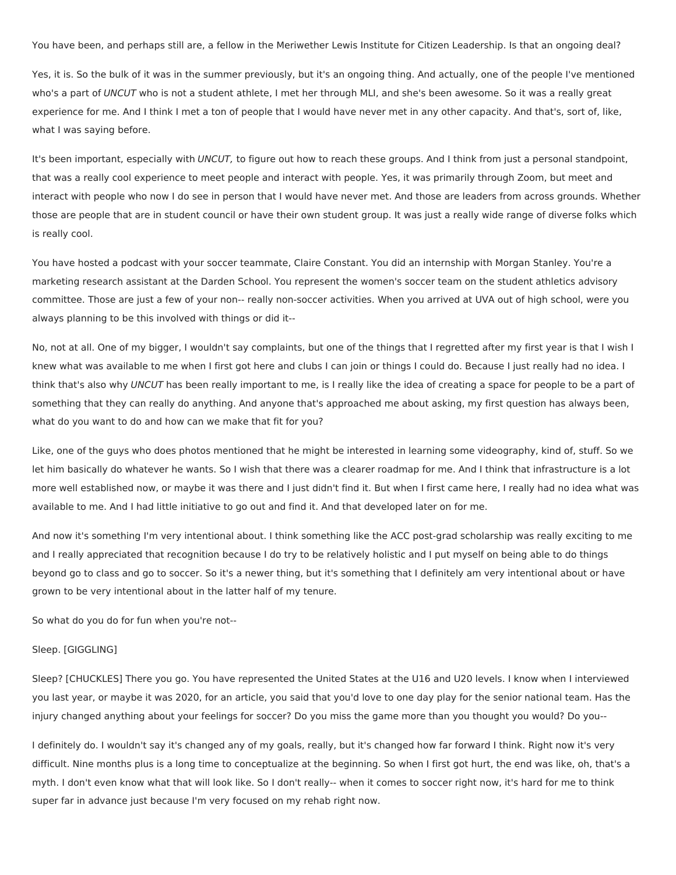You have been, and perhaps still are, a fellow in the Meriwether Lewis Institute for Citizen Leadership. Is that an ongoing deal?

Yes, it is. So the bulk of it was in the summer previously, but it's an ongoing thing. And actually, one of the people I've mentioned who's a part of UNCUT who is not a student athlete, I met her through MLI, and she's been awesome. So it was a really great experience for me. And I think I met a ton of people that I would have never met in any other capacity. And that's, sort of, like, what I was saying before.

It's been important, especially with UNCUT, to figure out how to reach these groups. And I think from just a personal standpoint, that was a really cool experience to meet people and interact with people. Yes, it was primarily through Zoom, but meet and interact with people who now I do see in person that I would have never met. And those are leaders from across grounds. Whether those are people that are in student council or have their own student group. It was just a really wide range of diverse folks which is really cool.

You have hosted a podcast with your soccer teammate, Claire Constant. You did an internship with Morgan Stanley. You're a marketing research assistant at the Darden School. You represent the women's soccer team on the student athletics advisory committee. Those are just a few of your non-- really non-soccer activities. When you arrived at UVA out of high school, were you always planning to be this involved with things or did it--

No, not at all. One of my bigger, I wouldn't say complaints, but one of the things that I regretted after my first year is that I wish I knew what was available to me when I first got here and clubs I can join or things I could do. Because I just really had no idea. I think that's also why UNCUT has been really important to me, is I really like the idea of creating a space for people to be a part of something that they can really do anything. And anyone that's approached me about asking, my first question has always been, what do you want to do and how can we make that fit for you?

Like, one of the guys who does photos mentioned that he might be interested in learning some videography, kind of, stuff. So we let him basically do whatever he wants. So I wish that there was a clearer roadmap for me. And I think that infrastructure is a lot more well established now, or maybe it was there and I just didn't find it. But when I first came here, I really had no idea what was available to me. And I had little initiative to go out and find it. And that developed later on for me.

And now it's something I'm very intentional about. I think something like the ACC post-grad scholarship was really exciting to me and I really appreciated that recognition because I do try to be relatively holistic and I put myself on being able to do things beyond go to class and go to soccer. So it's a newer thing, but it's something that I definitely am very intentional about or have grown to be very intentional about in the latter half of my tenure.

So what do you do for fun when you're not--

### Sleep. [GIGGLING]

Sleep? [CHUCKLES] There you go. You have represented the United States at the U16 and U20 levels. I know when I interviewed you last year, or maybe it was 2020, for an article, you said that you'd love to one day play for the senior national team. Has the injury changed anything about your feelings for soccer? Do you miss the game more than you thought you would? Do you--

I definitely do. I wouldn't say it's changed any of my goals, really, but it's changed how far forward I think. Right now it's very difficult. Nine months plus is a long time to conceptualize at the beginning. So when I first got hurt, the end was like, oh, that's a myth. I don't even know what that will look like. So I don't really-- when it comes to soccer right now, it's hard for me to think super far in advance just because I'm very focused on my rehab right now.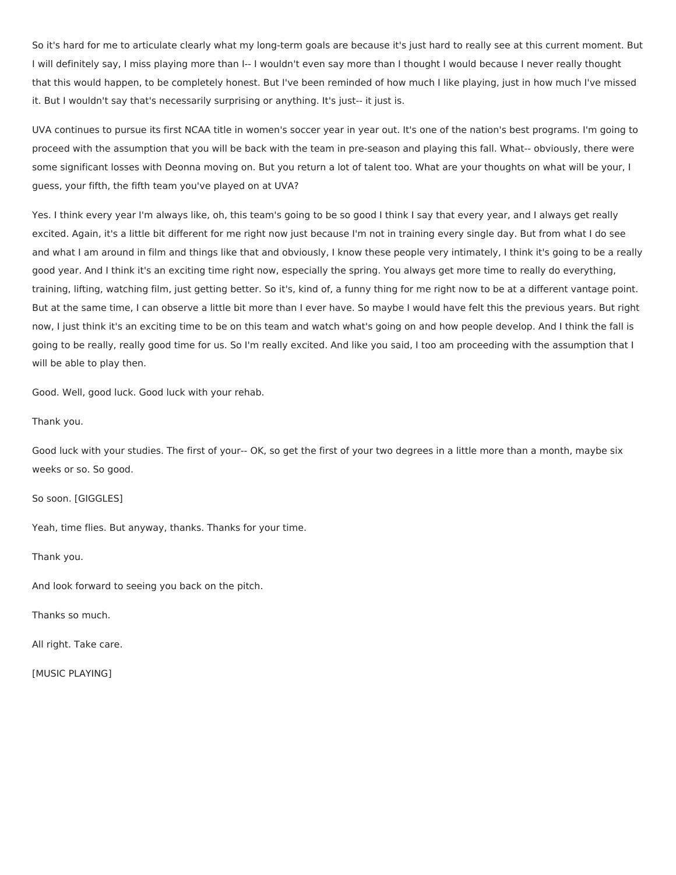So it's hard for me to articulate clearly what my long-term goals are because it's just hard to really see at this current moment. But I will definitely say, I miss playing more than I-- I wouldn't even say more than I thought I would because I never really thought that this would happen, to be completely honest. But I've been reminded of how much I like playing, just in how much I've missed it. But I wouldn't say that's necessarily surprising or anything. It's just-- it just is.

UVA continues to pursue its first NCAA title in women's soccer year in year out. It's one of the nation's best programs. I'm going to proceed with the assumption that you will be back with the team in pre-season and playing this fall. What-- obviously, there were some significant losses with Deonna moving on. But you return a lot of talent too. What are your thoughts on what will be your, I guess, your fifth, the fifth team you've played on at UVA?

Yes. I think every year I'm always like, oh, this team's going to be so good I think I say that every year, and I always get really excited. Again, it's a little bit different for me right now just because I'm not in training every single day. But from what I do see and what I am around in film and things like that and obviously, I know these people very intimately, I think it's going to be a really good year. And I think it's an exciting time right now, especially the spring. You always get more time to really do everything, training, lifting, watching film, just getting better. So it's, kind of, a funny thing for me right now to be at a different vantage point. But at the same time, I can observe a little bit more than I ever have. So maybe I would have felt this the previous years. But right now, I just think it's an exciting time to be on this team and watch what's going on and how people develop. And I think the fall is going to be really, really good time for us. So I'm really excited. And like you said, I too am proceeding with the assumption that I will be able to play then.

Good. Well, good luck. Good luck with your rehab.

Thank you.

Good luck with your studies. The first of your-- OK, so get the first of your two degrees in a little more than a month, maybe six weeks or so. So good.

So soon. [GIGGLES]

Yeah, time flies. But anyway, thanks. Thanks for your time.

Thank you.

And look forward to seeing you back on the pitch.

Thanks so much.

All right. Take care.

[MUSIC PLAYING]